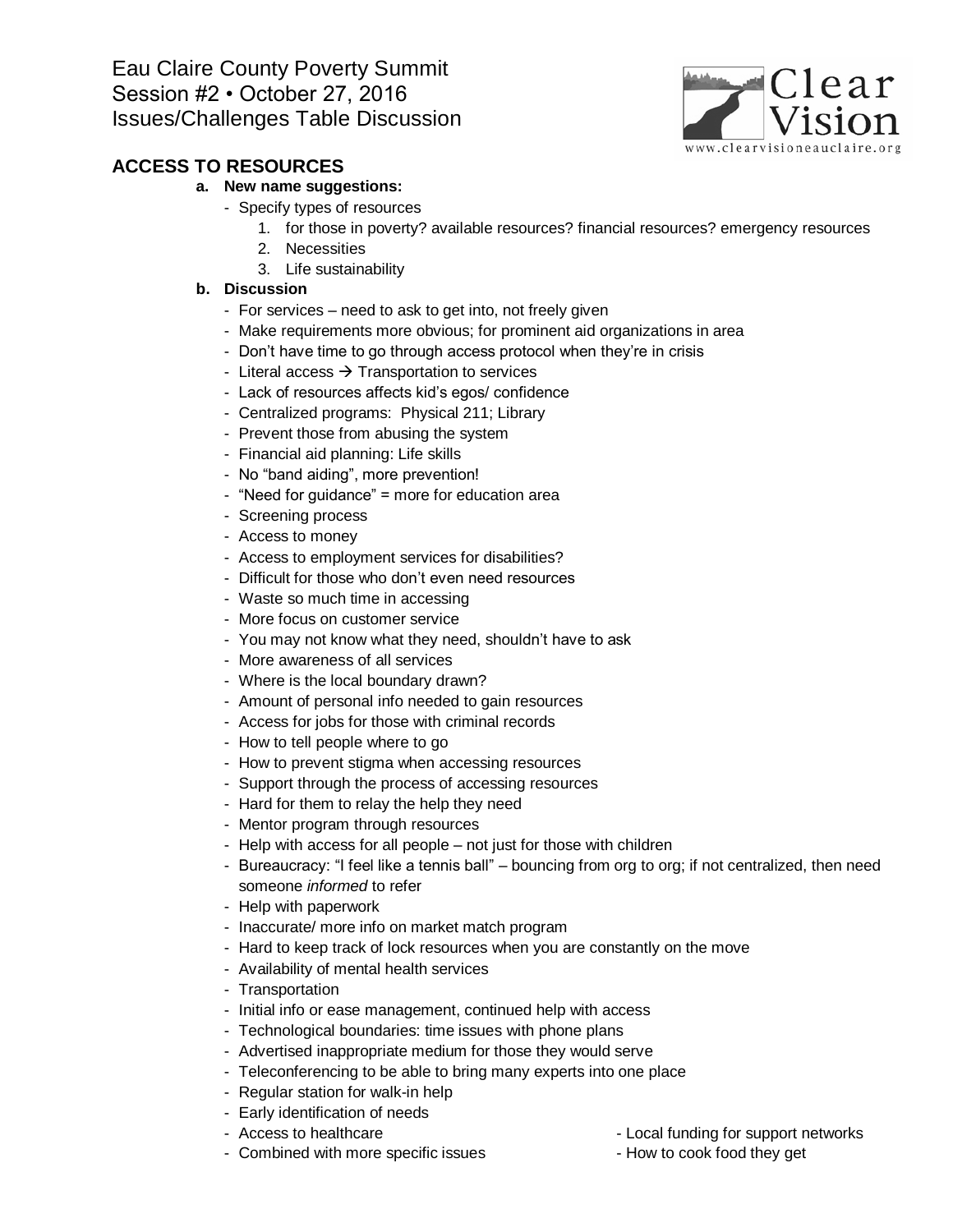

## **ACCESS TO RESOURCES**

### **a. New name suggestions:**

- Specify types of resources
	- 1. for those in poverty? available resources? financial resources? emergency resources
	- 2. Necessities
	- 3. Life sustainability

- For services need to ask to get into, not freely given
- Make requirements more obvious; for prominent aid organizations in area
- Don't have time to go through access protocol when they're in crisis
- Literal access  $\rightarrow$  Transportation to services
- Lack of resources affects kid's egos/ confidence
- Centralized programs: Physical 211; Library
- Prevent those from abusing the system
- Financial aid planning: Life skills
- No "band aiding", more prevention!
- "Need for guidance" = more for education area
- Screening process
- Access to money
- Access to employment services for disabilities?
- Difficult for those who don't even need resources
- Waste so much time in accessing
- More focus on customer service
- You may not know what they need, shouldn't have to ask
- More awareness of all services
- Where is the local boundary drawn?
- Amount of personal info needed to gain resources
- Access for jobs for those with criminal records
- How to tell people where to go
- How to prevent stigma when accessing resources
- Support through the process of accessing resources
- Hard for them to relay the help they need
- Mentor program through resources
- Help with access for all people not just for those with children
- Bureaucracy: "I feel like a tennis ball" bouncing from org to org; if not centralized, then need someone *informed* to refer
- Help with paperwork
- Inaccurate/ more info on market match program
- Hard to keep track of lock resources when you are constantly on the move
- Availability of mental health services
- Transportation
- Initial info or ease management, continued help with access
- Technological boundaries: time issues with phone plans
- Advertised inappropriate medium for those they would serve
- Teleconferencing to be able to bring many experts into one place
- Regular station for walk-in help
- Early identification of needs
- 
- Combined with more specific issues How to cook food they get
- Access to healthcare  $\overline{\phantom{a}}$  Local funding for support networks
	-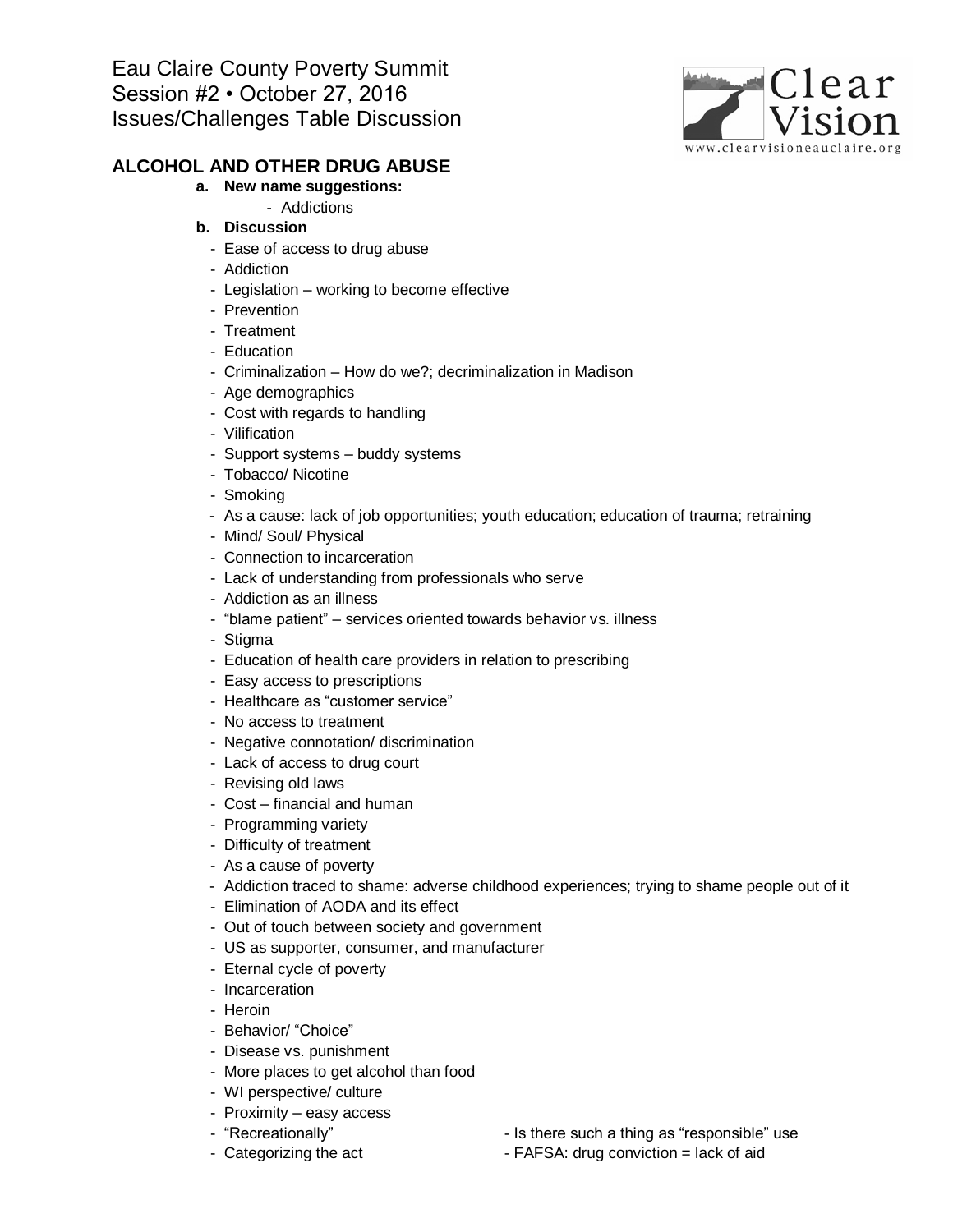

## **ALCOHOL AND OTHER DRUG ABUSE**

#### **a. New name suggestions:**

- Addictions
- **b. Discussion**
	- Ease of access to drug abuse
	- Addiction
	- Legislation working to become effective
	- Prevention
	- Treatment
	- Education
	- Criminalization How do we?; decriminalization in Madison
	- Age demographics
	- Cost with regards to handling
	- Vilification
	- Support systems buddy systems
	- Tobacco/ Nicotine
	- Smoking
	- As a cause: lack of job opportunities; youth education; education of trauma; retraining
	- Mind/ Soul/ Physical
	- Connection to incarceration
	- Lack of understanding from professionals who serve
	- Addiction as an illness
	- "blame patient" services oriented towards behavior vs. illness
	- Stigma
	- Education of health care providers in relation to prescribing
	- Easy access to prescriptions
	- Healthcare as "customer service"
	- No access to treatment
	- Negative connotation/ discrimination
	- Lack of access to drug court
	- Revising old laws
	- Cost financial and human
	- Programming variety
	- Difficulty of treatment
	- As a cause of poverty
	- Addiction traced to shame: adverse childhood experiences; trying to shame people out of it
	- Elimination of AODA and its effect
	- Out of touch between society and government
	- US as supporter, consumer, and manufacturer
	- Eternal cycle of poverty
	- Incarceration
	- Heroin
	- Behavior/ "Choice"
	- Disease vs. punishment
	- More places to get alcohol than food
	- WI perspective/ culture
	- Proximity easy access
	-
	-
	- "Recreationally"  $\qquad \qquad$  Is there such a thing as "responsible" use
	- Categorizing the act FAFSA: drug conviction = lack of aid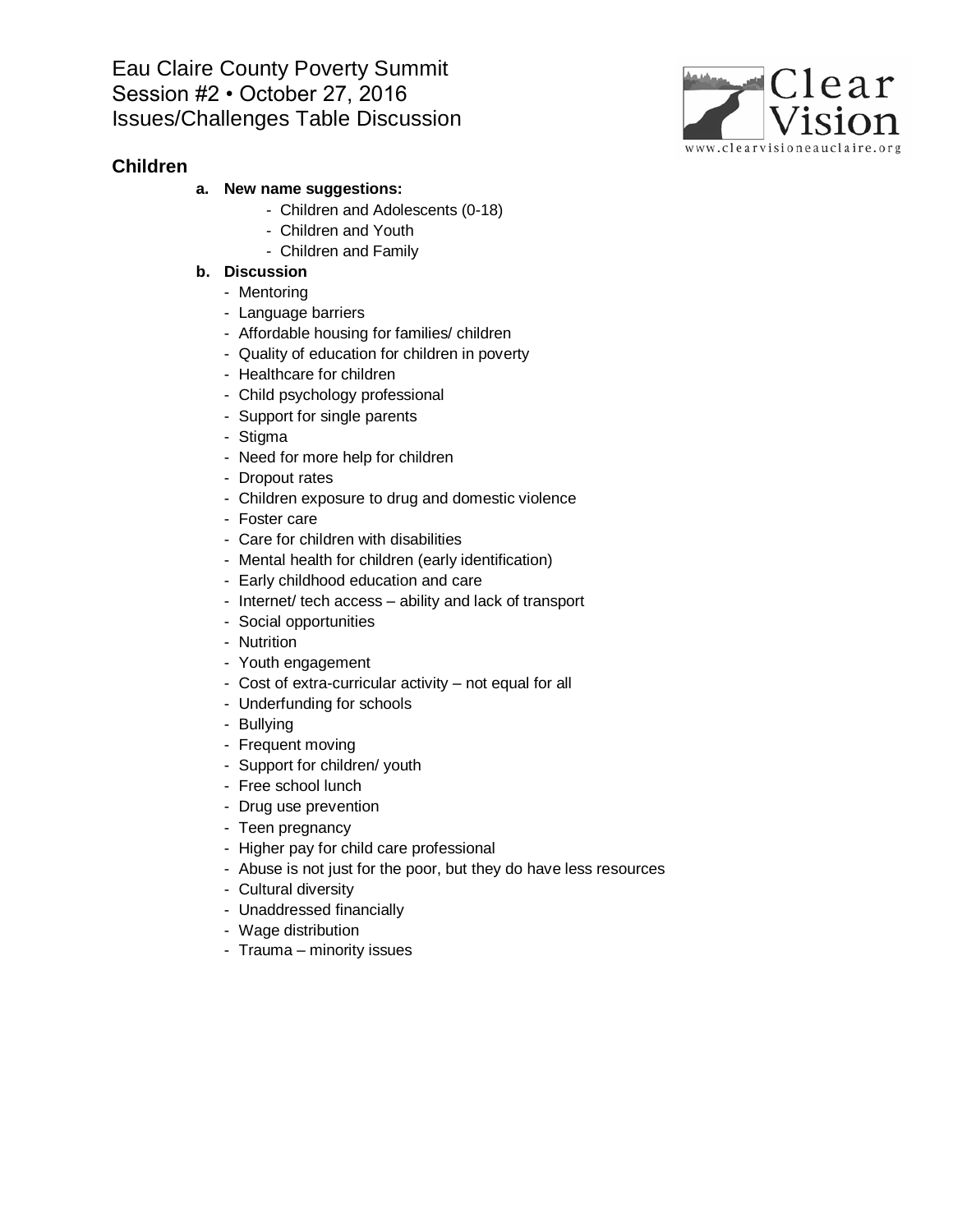### **Children**

### **a. New name suggestions:**

- Children and Adolescents (0-18)
- Children and Youth
- Children and Family

- Mentoring
- Language barriers
- Affordable housing for families/ children
- Quality of education for children in poverty
- Healthcare for children
- Child psychology professional
- Support for single parents
- Stigma
- Need for more help for children
- Dropout rates
- Children exposure to drug and domestic violence
- Foster care
- Care for children with disabilities
- Mental health for children (early identification)
- Early childhood education and care
- Internet/ tech access ability and lack of transport
- Social opportunities
- Nutrition
- Youth engagement
- Cost of extra-curricular activity not equal for all
- Underfunding for schools
- Bullying
- Frequent moving
- Support for children/ youth
- Free school lunch
- Drug use prevention
- Teen pregnancy
- Higher pay for child care professional
- Abuse is not just for the poor, but they do have less resources
- Cultural diversity
- Unaddressed financially
- Wage distribution
- Trauma minority issues

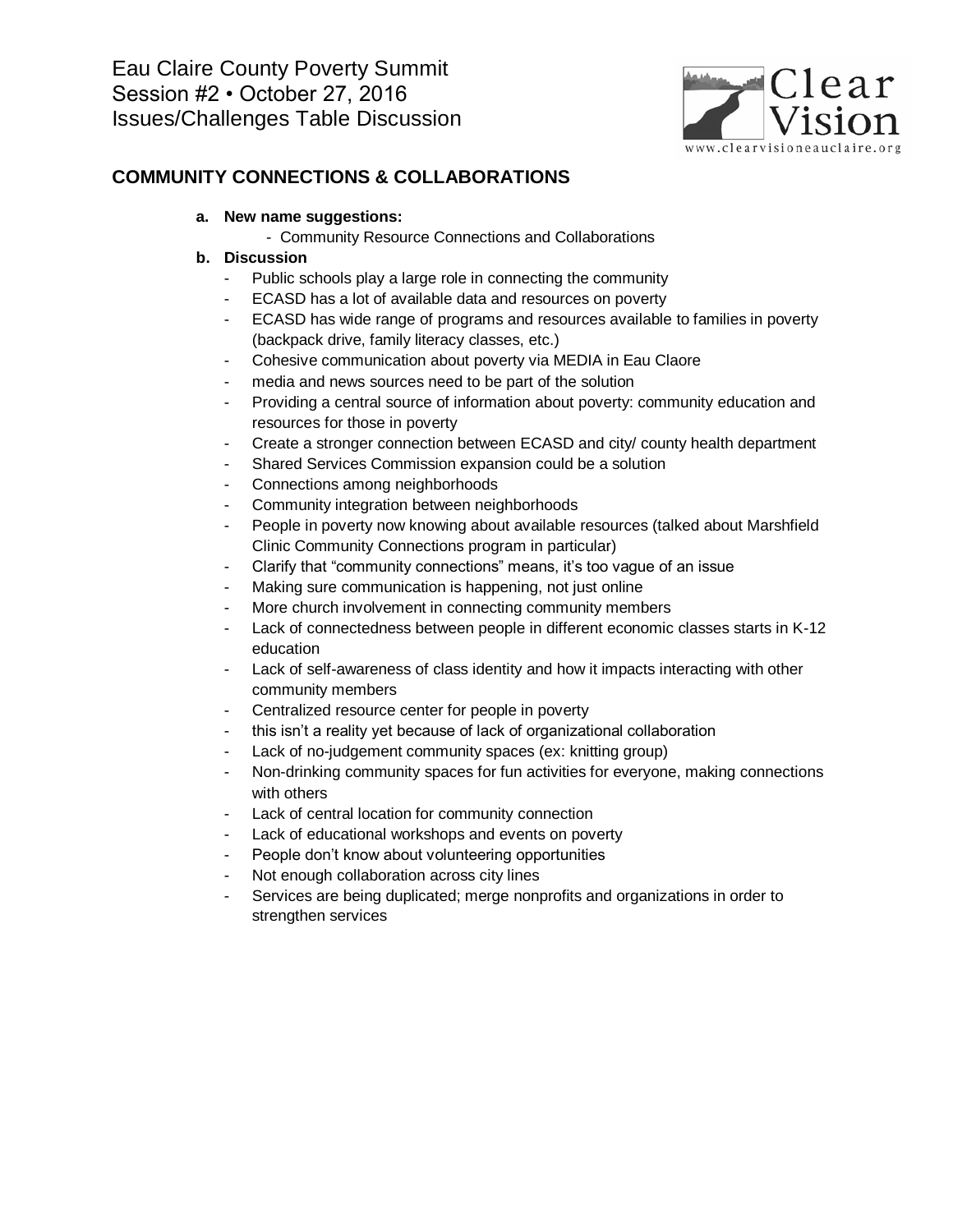

## **COMMUNITY CONNECTIONS & COLLABORATIONS**

### **a. New name suggestions:**

- Community Resource Connections and Collaborations

- Public schools play a large role in connecting the community
- ECASD has a lot of available data and resources on poverty
- ECASD has wide range of programs and resources available to families in poverty (backpack drive, family literacy classes, etc.)
- Cohesive communication about poverty via MEDIA in Eau Claore
- media and news sources need to be part of the solution
- Providing a central source of information about poverty: community education and resources for those in poverty
- Create a stronger connection between ECASD and city/ county health department
- Shared Services Commission expansion could be a solution
- Connections among neighborhoods
- Community integration between neighborhoods
- People in poverty now knowing about available resources (talked about Marshfield Clinic Community Connections program in particular)
- Clarify that "community connections" means, it's too vague of an issue
- Making sure communication is happening, not just online
- More church involvement in connecting community members
- Lack of connectedness between people in different economic classes starts in K-12 education
- Lack of self-awareness of class identity and how it impacts interacting with other community members
- Centralized resource center for people in poverty
- this isn't a reality yet because of lack of organizational collaboration
- Lack of no-judgement community spaces (ex: knitting group)
- Non-drinking community spaces for fun activities for everyone, making connections with others
- Lack of central location for community connection
- Lack of educational workshops and events on poverty
- People don't know about volunteering opportunities
- Not enough collaboration across city lines
- Services are being duplicated; merge nonprofits and organizations in order to strengthen services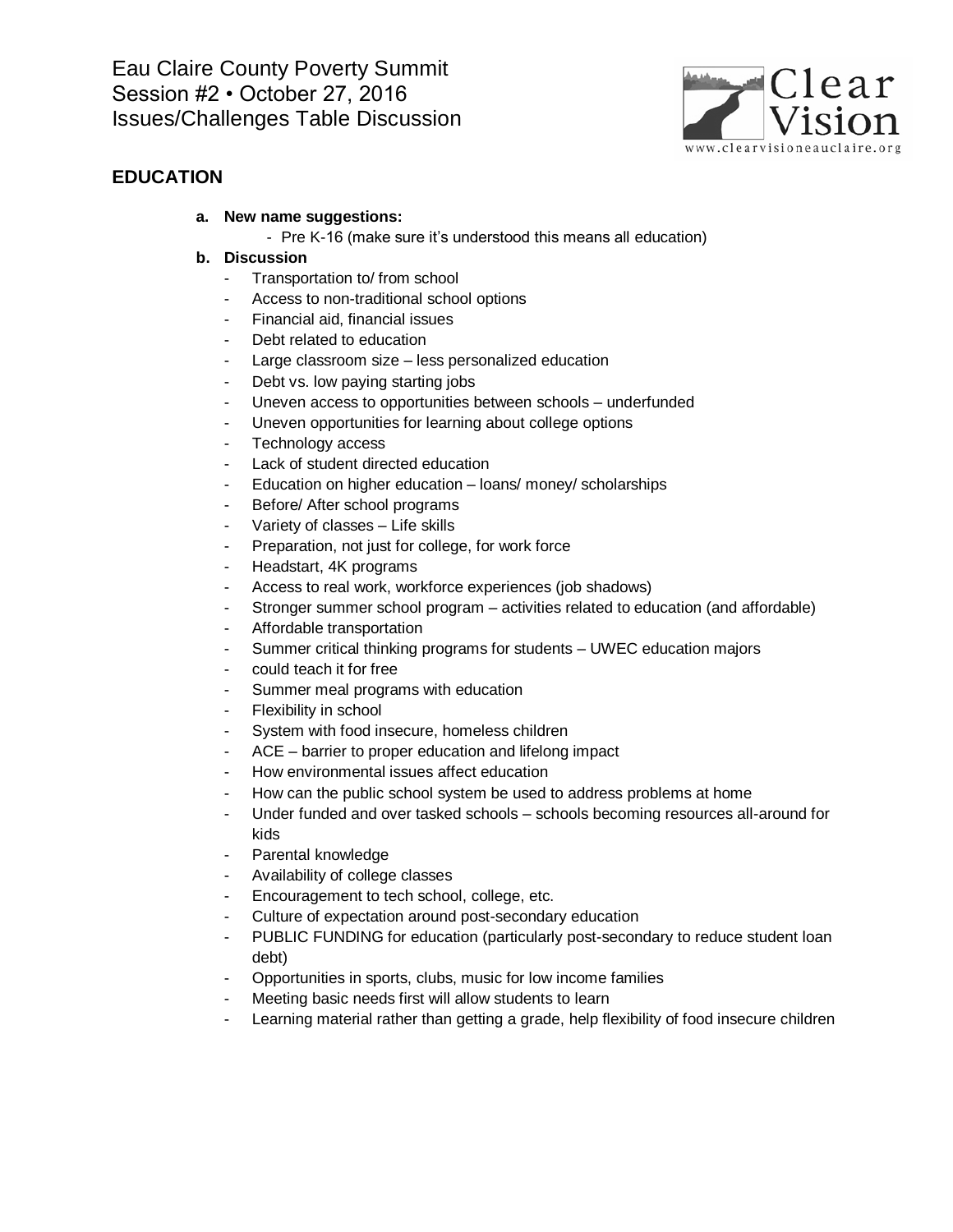

## **EDUCATION**

### **a. New name suggestions:**

- Pre K-16 (make sure it's understood this means all education)

- Transportation to/ from school
- Access to non-traditional school options
- Financial aid, financial issues
- Debt related to education
- Large classroom size less personalized education
- Debt vs. low paying starting jobs
- Uneven access to opportunities between schools underfunded
- Uneven opportunities for learning about college options
- Technology access
- Lack of student directed education
- Education on higher education loans/ money/ scholarships
- Before/ After school programs
- Variety of classes Life skills
- Preparation, not just for college, for work force
- Headstart, 4K programs
- Access to real work, workforce experiences (job shadows)
- Stronger summer school program activities related to education (and affordable)
- Affordable transportation
- Summer critical thinking programs for students UWEC education majors
- could teach it for free
- Summer meal programs with education
- Flexibility in school
- System with food insecure, homeless children
- ACE barrier to proper education and lifelong impact
- How environmental issues affect education
- How can the public school system be used to address problems at home
- Under funded and over tasked schools schools becoming resources all-around for kids
- Parental knowledge
- Availability of college classes
- Encouragement to tech school, college, etc.
- Culture of expectation around post-secondary education
- PUBLIC FUNDING for education (particularly post-secondary to reduce student loan debt)
- Opportunities in sports, clubs, music for low income families
- Meeting basic needs first will allow students to learn
- Learning material rather than getting a grade, help flexibility of food insecure children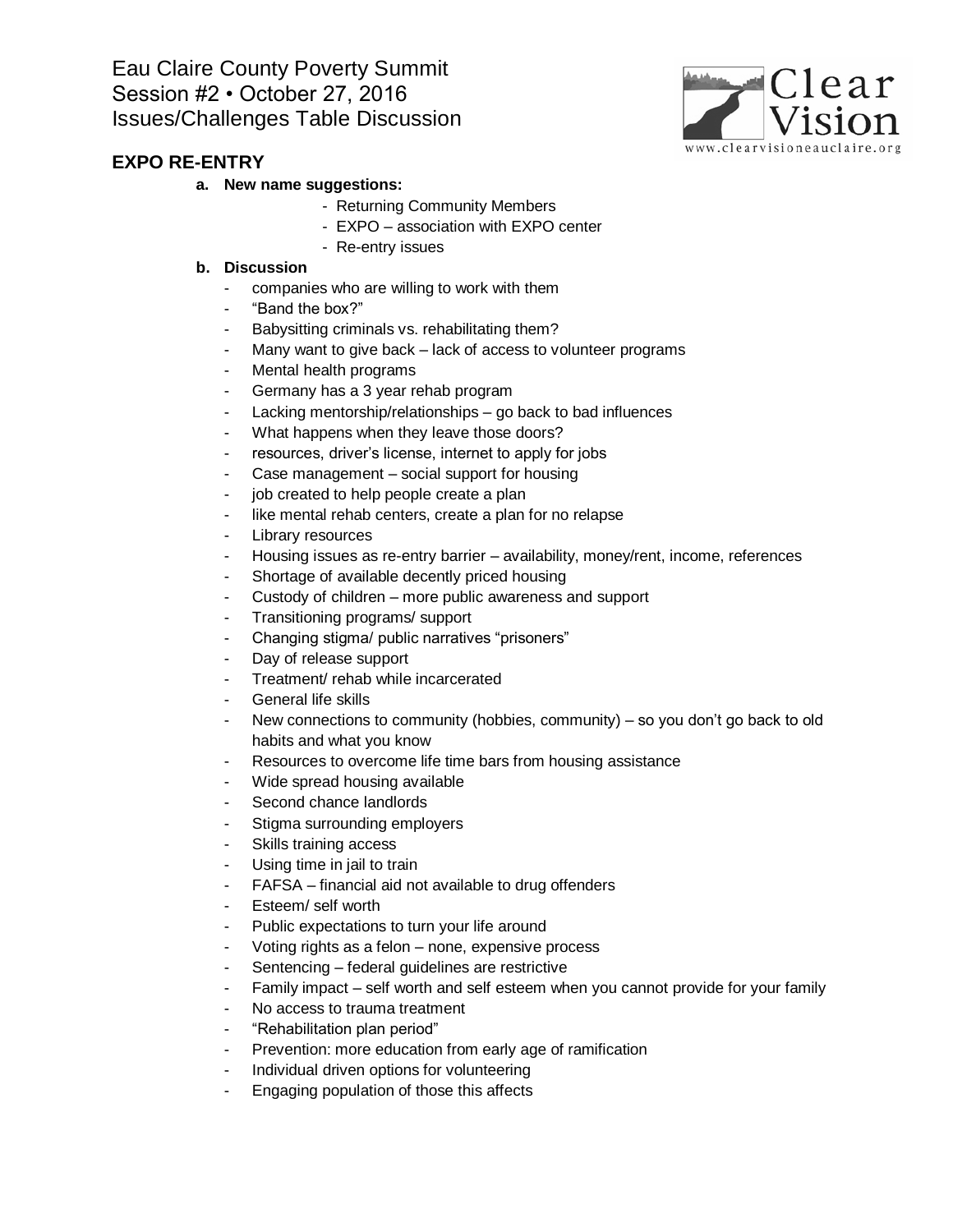

### **a. New name suggestions:**

- Returning Community Members
- EXPO association with EXPO center
- Re-entry issues

- companies who are willing to work with them
- "Band the box?"
- Babysitting criminals vs. rehabilitating them?
- Many want to give back lack of access to volunteer programs
- Mental health programs
- Germany has a 3 year rehab program
- Lacking mentorship/relationships go back to bad influences
- What happens when they leave those doors?
- resources, driver's license, internet to apply for jobs
- Case management social support for housing
- job created to help people create a plan
- like mental rehab centers, create a plan for no relapse
- Library resources
- Housing issues as re-entry barrier availability, money/rent, income, references
- Shortage of available decently priced housing
- Custody of children more public awareness and support
- Transitioning programs/ support
- Changing stigma/ public narratives "prisoners"
- Day of release support
- Treatment/ rehab while incarcerated
- General life skills
- New connections to community (hobbies, community) so you don't go back to old habits and what you know
- Resources to overcome life time bars from housing assistance
- Wide spread housing available
- Second chance landlords
- Stigma surrounding employers
- Skills training access
- Using time in jail to train
- FAFSA financial aid not available to drug offenders
- Esteem/ self worth
- Public expectations to turn your life around
- Voting rights as a felon none, expensive process
- Sentencing federal guidelines are restrictive
- Family impact self worth and self esteem when you cannot provide for your family
- No access to trauma treatment
- "Rehabilitation plan period"
- Prevention: more education from early age of ramification
- Individual driven options for volunteering
- Engaging population of those this affects

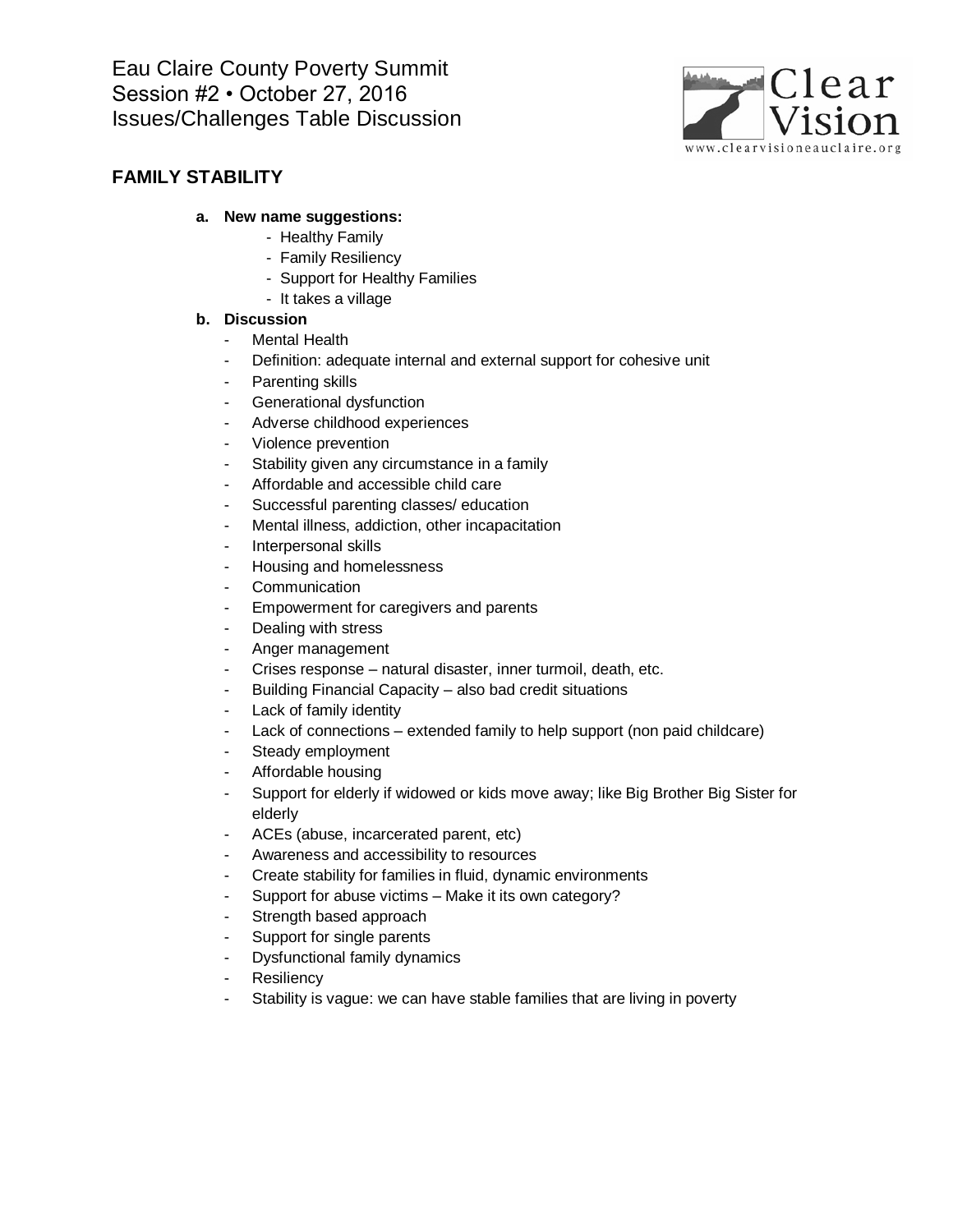

## **FAMILY STABILITY**

### **a. New name suggestions:**

- Healthy Family
- Family Resiliency
- Support for Healthy Families
- It takes a village

- Mental Health
- Definition: adequate internal and external support for cohesive unit
- Parenting skills
- Generational dysfunction
- Adverse childhood experiences
- Violence prevention
- Stability given any circumstance in a family
- Affordable and accessible child care
- Successful parenting classes/ education
- Mental illness, addiction, other incapacitation
- Interpersonal skills
- Housing and homelessness
- Communication
- Empowerment for caregivers and parents
- Dealing with stress
- Anger management
- Crises response natural disaster, inner turmoil, death, etc.
- Building Financial Capacity also bad credit situations
- Lack of family identity
- Lack of connections extended family to help support (non paid childcare)
- Steady employment
- Affordable housing
- Support for elderly if widowed or kids move away; like Big Brother Big Sister for elderly
- ACEs (abuse, incarcerated parent, etc)
- Awareness and accessibility to resources
- Create stability for families in fluid, dynamic environments
- Support for abuse victims Make it its own category?
- Strength based approach
- Support for single parents
- Dysfunctional family dynamics
- **Resiliency**
- Stability is vague: we can have stable families that are living in poverty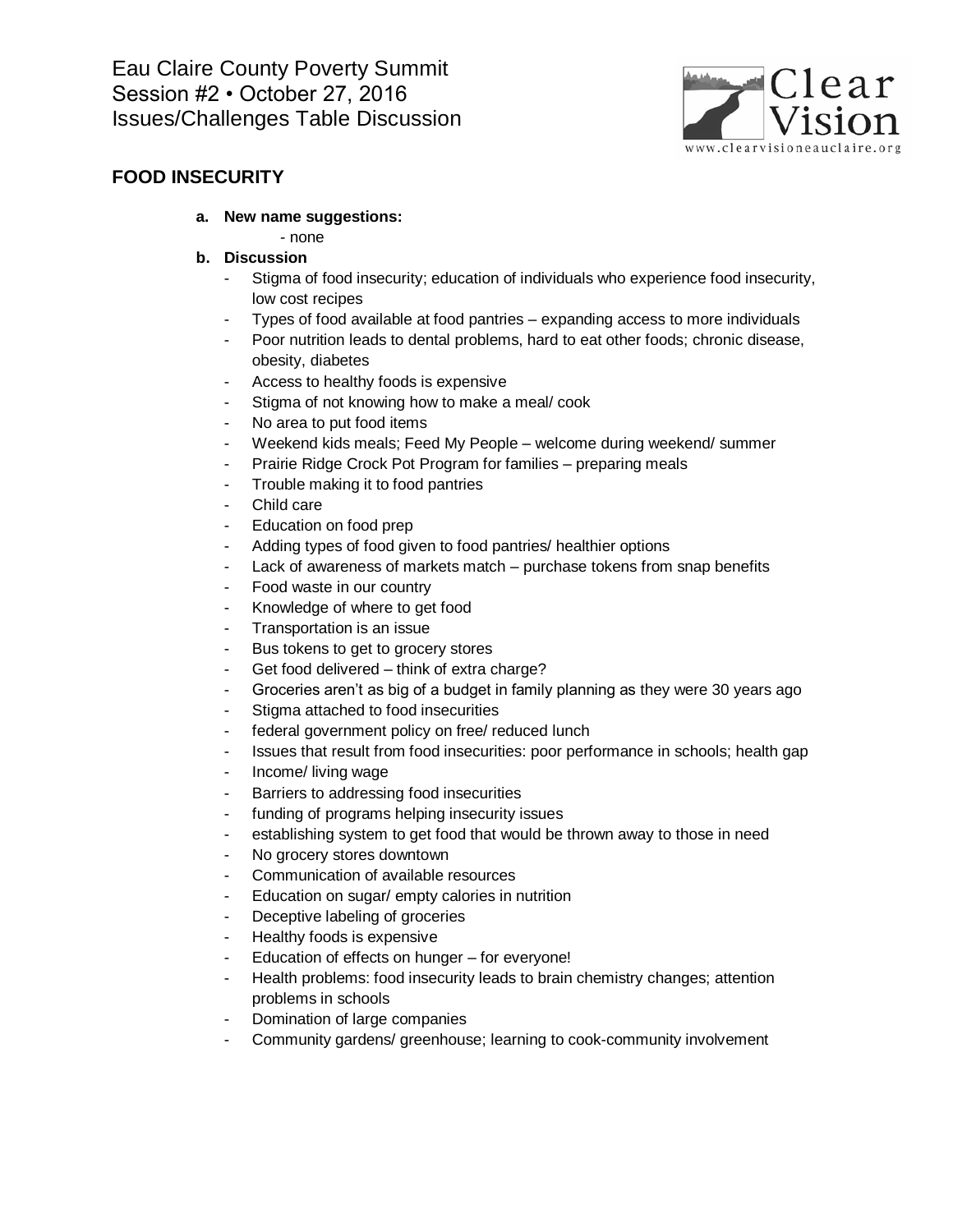

## **FOOD INSECURITY**

- **a. New name suggestions:**
	- none
- **b. Discussion**
	- Stigma of food insecurity; education of individuals who experience food insecurity, low cost recipes
	- Types of food available at food pantries expanding access to more individuals
	- Poor nutrition leads to dental problems, hard to eat other foods; chronic disease, obesity, diabetes
	- Access to healthy foods is expensive
	- Stigma of not knowing how to make a meal/ cook
	- No area to put food items
	- Weekend kids meals; Feed My People welcome during weekend/ summer
	- Prairie Ridge Crock Pot Program for families preparing meals
	- Trouble making it to food pantries
	- Child care
	- Education on food prep
	- Adding types of food given to food pantries/ healthier options
	- Lack of awareness of markets match purchase tokens from snap benefits
	- Food waste in our country
	- Knowledge of where to get food
	- Transportation is an issue
	- Bus tokens to get to grocery stores
	- Get food delivered think of extra charge?
	- Groceries aren't as big of a budget in family planning as they were 30 years ago
	- Stigma attached to food insecurities
	- federal government policy on free/ reduced lunch
	- Issues that result from food insecurities: poor performance in schools; health gap
	- Income/ living wage
	- Barriers to addressing food insecurities
	- funding of programs helping insecurity issues
	- establishing system to get food that would be thrown away to those in need
	- No grocery stores downtown
	- Communication of available resources
	- Education on sugar/ empty calories in nutrition
	- Deceptive labeling of groceries
	- Healthy foods is expensive
	- Education of effects on hunger for everyone!
	- Health problems: food insecurity leads to brain chemistry changes; attention problems in schools
	- Domination of large companies
	- Community gardens/ greenhouse; learning to cook-community involvement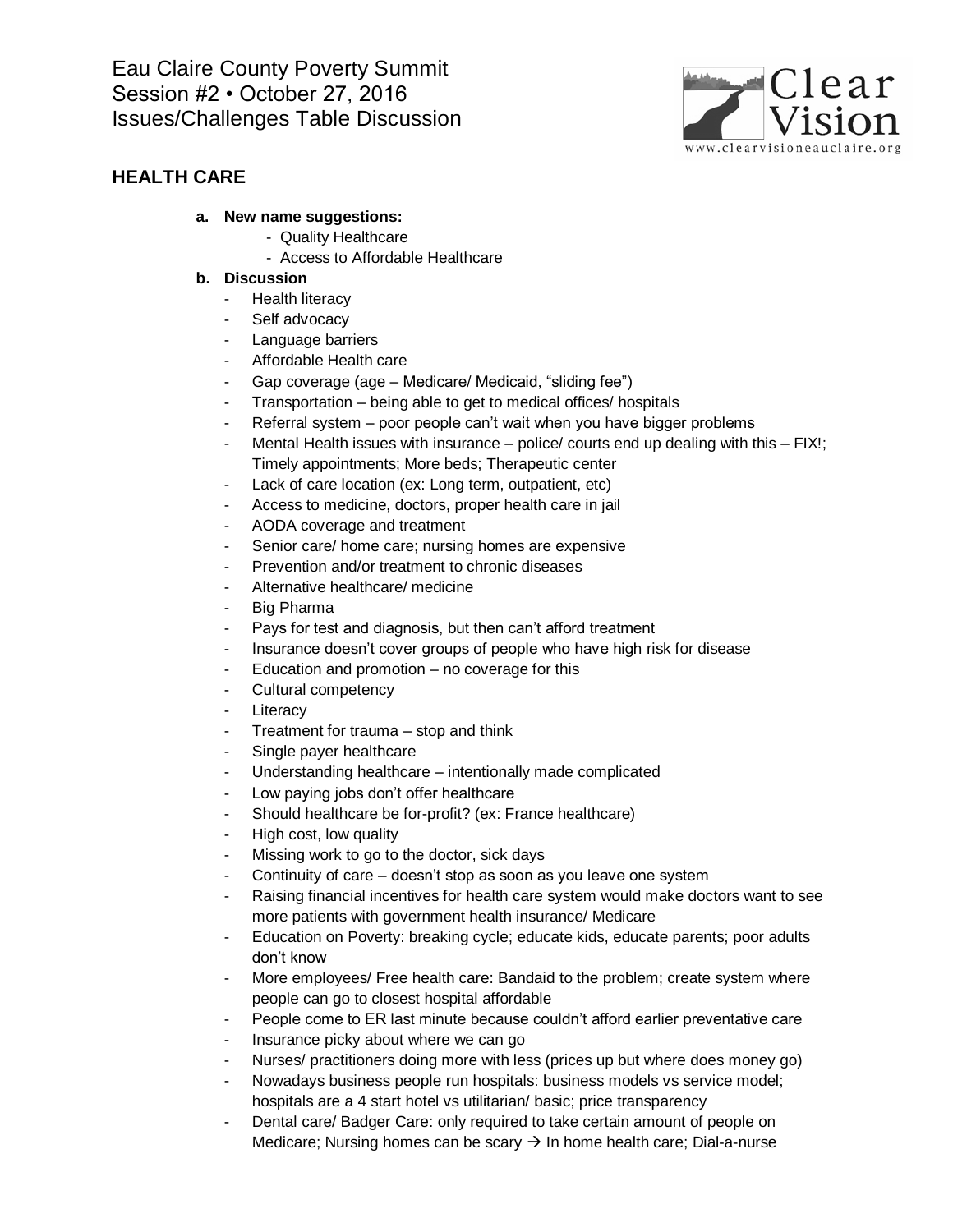

## **HEALTH CARE**

#### **a. New name suggestions:**

- Quality Healthcare
- Access to Affordable Healthcare

- Health literacy
- Self advocacy
- Language barriers
- Affordable Health care
- Gap coverage (age Medicare/ Medicaid, "sliding fee")
- Transportation being able to get to medical offices/ hospitals
- Referral system poor people can't wait when you have bigger problems
- Mental Health issues with insurance police/ courts end up dealing with this FIX!; Timely appointments; More beds; Therapeutic center
- Lack of care location (ex: Long term, outpatient, etc)
- Access to medicine, doctors, proper health care in jail
- AODA coverage and treatment
- Senior care/ home care; nursing homes are expensive
- Prevention and/or treatment to chronic diseases
- Alternative healthcare/ medicine
- Big Pharma
- Pays for test and diagnosis, but then can't afford treatment
- Insurance doesn't cover groups of people who have high risk for disease
- Education and promotion no coverage for this
- Cultural competency
- Literacy
- Treatment for trauma stop and think
- Single payer healthcare
- Understanding healthcare intentionally made complicated
- Low paying jobs don't offer healthcare
- Should healthcare be for-profit? (ex: France healthcare)
- High cost, low quality
- Missing work to go to the doctor, sick days
- Continuity of care doesn't stop as soon as you leave one system
- Raising financial incentives for health care system would make doctors want to see more patients with government health insurance/ Medicare
- Education on Poverty: breaking cycle; educate kids, educate parents; poor adults don't know
- More employees/ Free health care: Bandaid to the problem; create system where people can go to closest hospital affordable
- People come to ER last minute because couldn't afford earlier preventative care
- Insurance picky about where we can go
- Nurses/ practitioners doing more with less (prices up but where does money go)
- Nowadays business people run hospitals: business models vs service model; hospitals are a 4 start hotel vs utilitarian/ basic; price transparency
- Dental care/ Badger Care: only required to take certain amount of people on Medicare; Nursing homes can be scary  $\rightarrow$  In home health care; Dial-a-nurse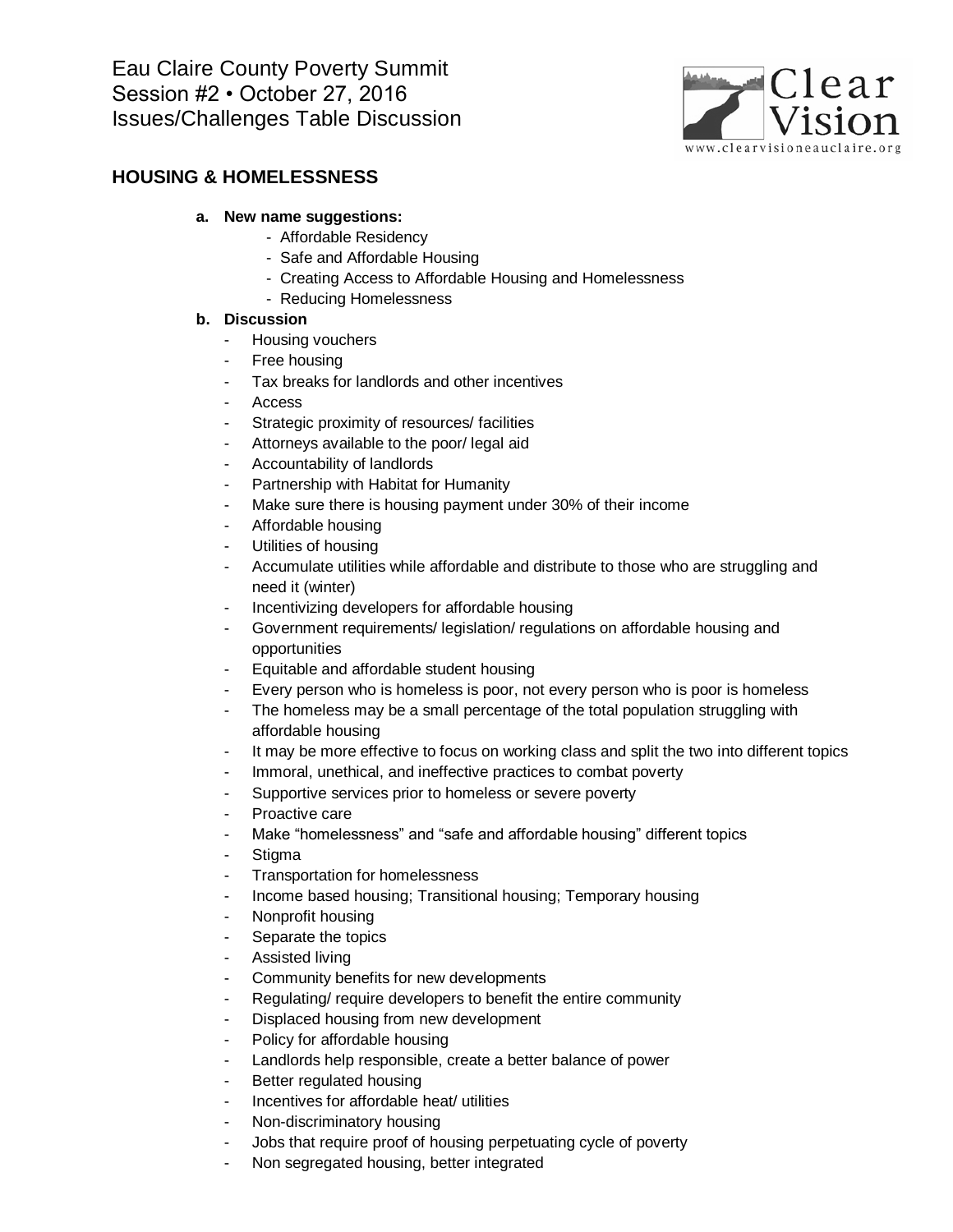

### **HOUSING & HOMELESSNESS**

### **a. New name suggestions:**

- Affordable Residency
- Safe and Affordable Housing
- Creating Access to Affordable Housing and Homelessness
- Reducing Homelessness

- Housing vouchers
- Free housing
- Tax breaks for landlords and other incentives
- **Access**
- Strategic proximity of resources/ facilities
- Attorneys available to the poor/ legal aid
- Accountability of landlords
- Partnership with Habitat for Humanity
- Make sure there is housing payment under 30% of their income
- Affordable housing
- Utilities of housing
- Accumulate utilities while affordable and distribute to those who are struggling and need it (winter)
- Incentivizing developers for affordable housing
- Government requirements/ legislation/ regulations on affordable housing and opportunities
- Equitable and affordable student housing
- Every person who is homeless is poor, not every person who is poor is homeless
- The homeless may be a small percentage of the total population struggling with affordable housing
- It may be more effective to focus on working class and split the two into different topics
- Immoral, unethical, and ineffective practices to combat poverty
- Supportive services prior to homeless or severe poverty
- Proactive care
- Make "homelessness" and "safe and affordable housing" different topics
- **Stigma**
- Transportation for homelessness
- Income based housing; Transitional housing; Temporary housing
- Nonprofit housing
- Separate the topics
- Assisted living
- Community benefits for new developments
- Regulating/ require developers to benefit the entire community
- Displaced housing from new development
- Policy for affordable housing
- Landlords help responsible, create a better balance of power
- Better regulated housing
- Incentives for affordable heat/ utilities
- Non-discriminatory housing
- Jobs that require proof of housing perpetuating cycle of poverty
- Non segregated housing, better integrated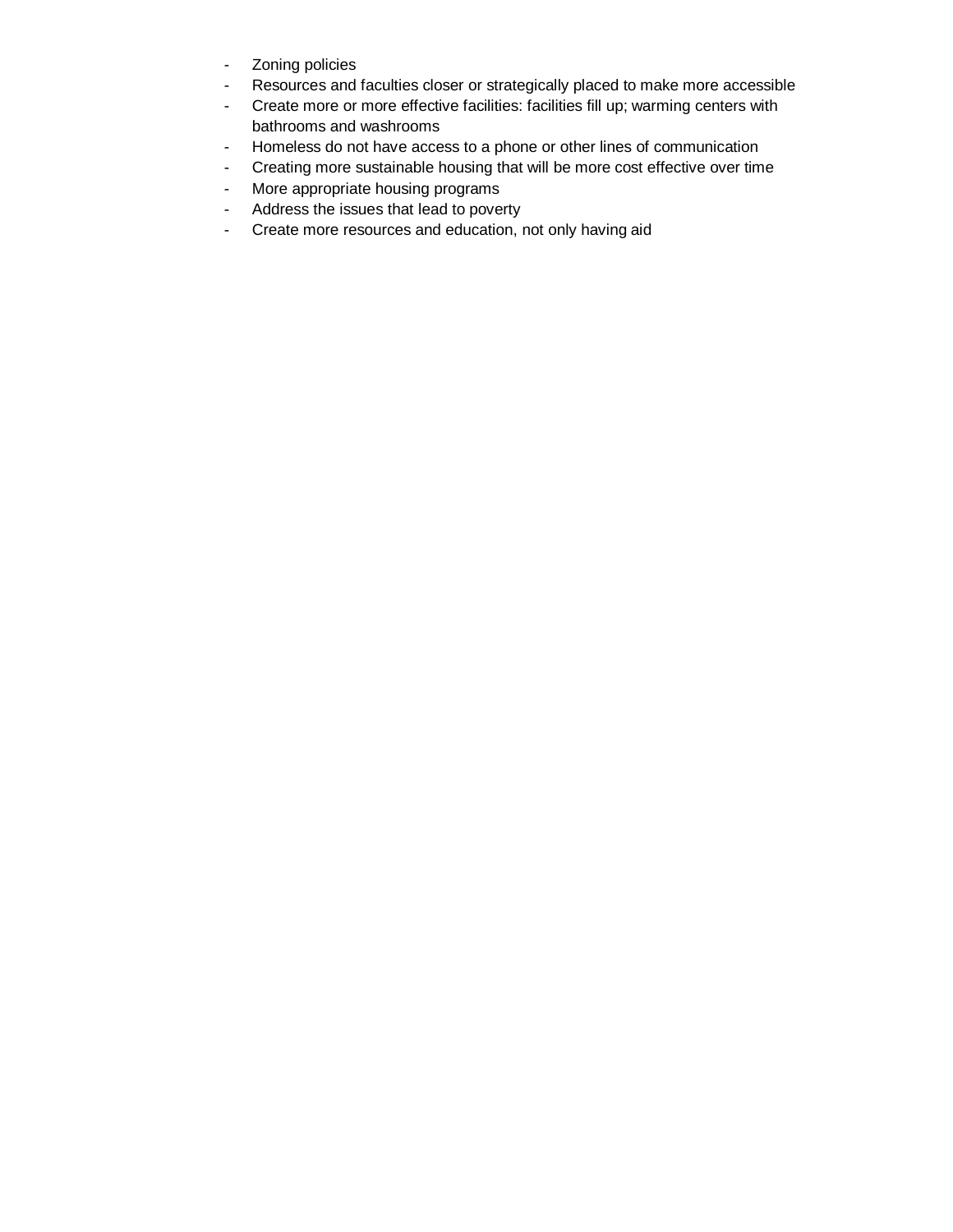- Zoning policies
- Resources and faculties closer or strategically placed to make more accessible
- Create more or more effective facilities: facilities fill up; warming centers with bathrooms and washrooms
- Homeless do not have access to a phone or other lines of communication
- Creating more sustainable housing that will be more cost effective over time
- More appropriate housing programs
- Address the issues that lead to poverty
- Create more resources and education, not only having aid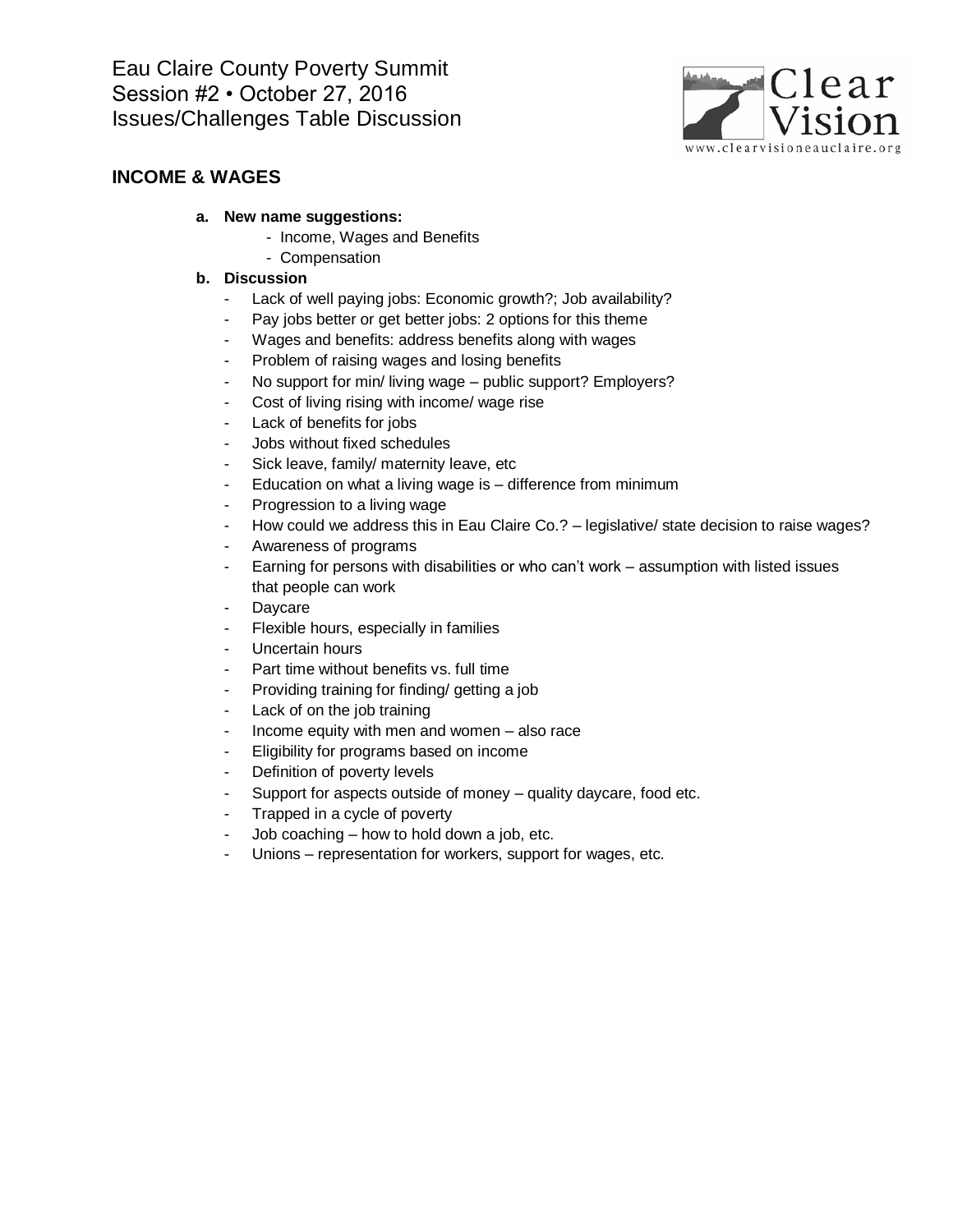

## **INCOME & WAGES**

### **a. New name suggestions:**

- Income, Wages and Benefits
- Compensation

- Lack of well paying jobs: Economic growth?; Job availability?
- Pay jobs better or get better jobs: 2 options for this theme
- Wages and benefits: address benefits along with wages
- Problem of raising wages and losing benefits
- No support for min/ living wage public support? Employers?
- Cost of living rising with income/ wage rise
- Lack of benefits for jobs
- Jobs without fixed schedules
- Sick leave, family/ maternity leave, etc
- Education on what a living wage is  $-$  difference from minimum
- Progression to a living wage
- How could we address this in Eau Claire Co.? legislative/ state decision to raise wages?
- Awareness of programs
- Earning for persons with disabilities or who can't work assumption with listed issues that people can work
- **Daycare**
- Flexible hours, especially in families
- Uncertain hours
- Part time without benefits vs. full time
- Providing training for finding/ getting a job
- Lack of on the job training
- Income equity with men and women also race
- Eligibility for programs based on income
- Definition of poverty levels
- Support for aspects outside of money quality daycare, food etc.
- Trapped in a cycle of poverty
- Job coaching how to hold down a job, etc.
- Unions representation for workers, support for wages, etc.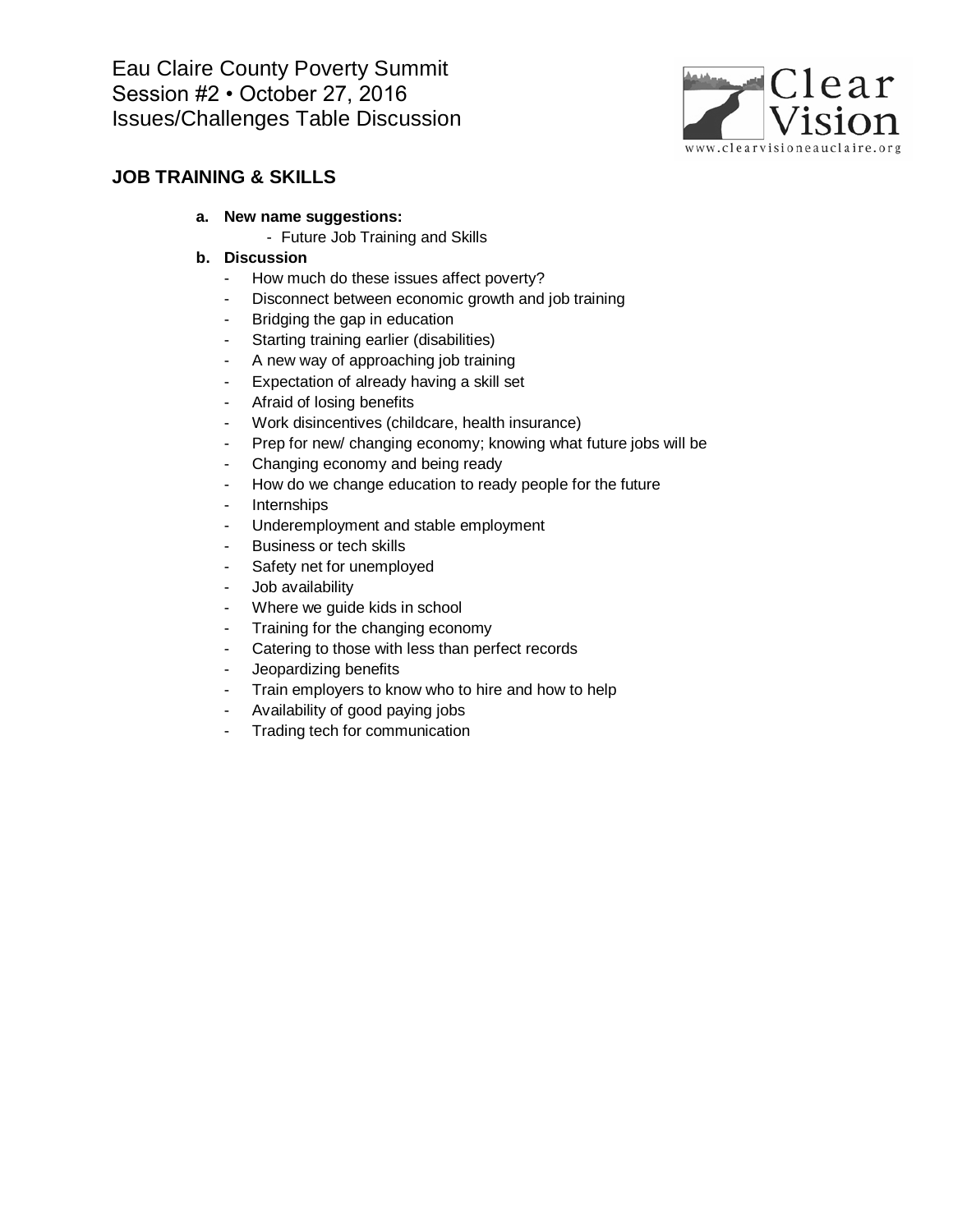

### **JOB TRAINING & SKILLS**

- **a. New name suggestions:**
	- Future Job Training and Skills

- How much do these issues affect poverty?
- Disconnect between economic growth and job training
- Bridging the gap in education
- Starting training earlier (disabilities)
- A new way of approaching job training
- Expectation of already having a skill set
- Afraid of losing benefits
- Work disincentives (childcare, health insurance)
- Prep for new/ changing economy; knowing what future jobs will be
- Changing economy and being ready
- How do we change education to ready people for the future
- Internships
- Underemployment and stable employment
- Business or tech skills
- Safety net for unemployed
- Job availability
- Where we guide kids in school
- Training for the changing economy
- Catering to those with less than perfect records
- Jeopardizing benefits
- Train employers to know who to hire and how to help
- Availability of good paying jobs
- Trading tech for communication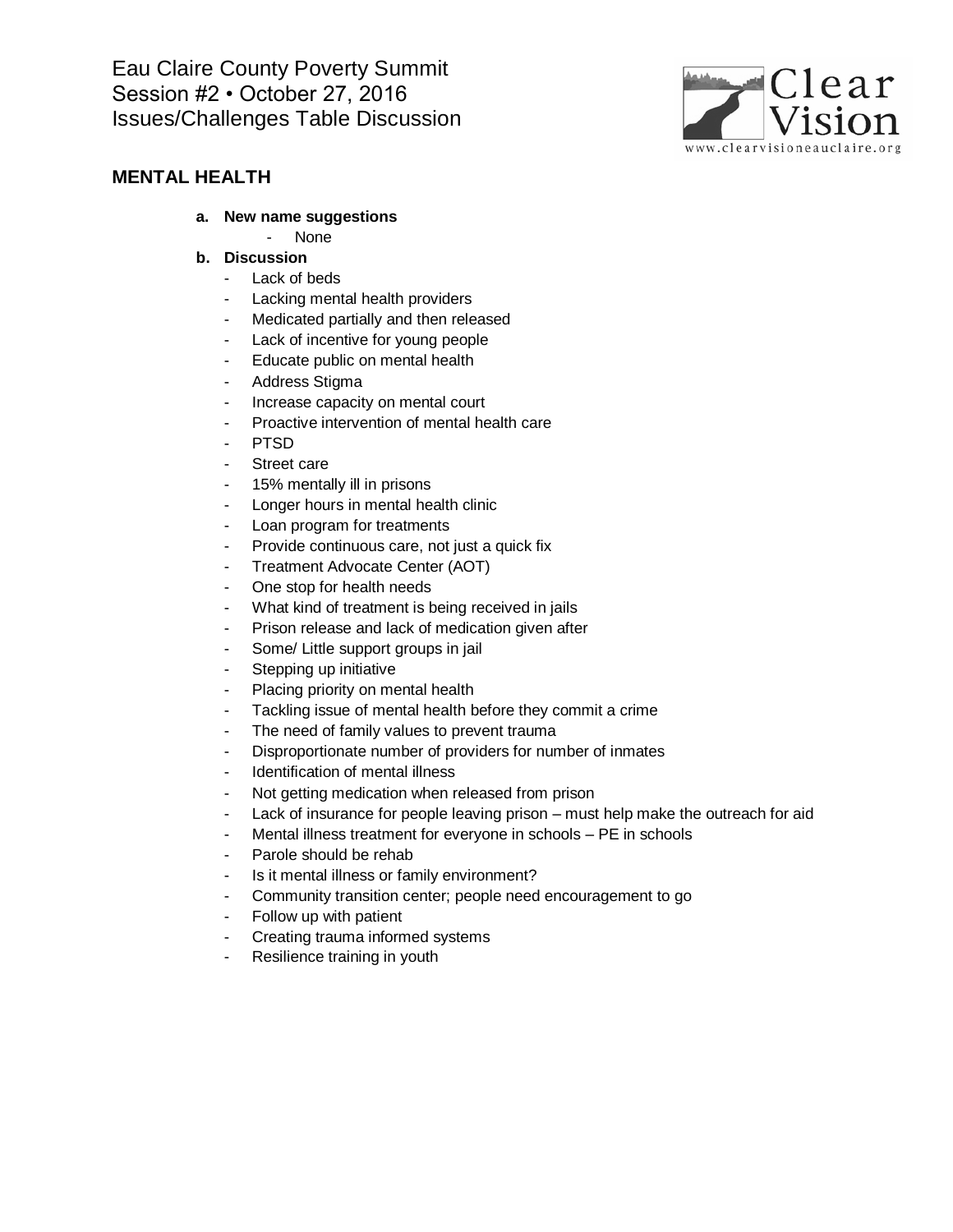

### **MENTAL HEALTH**

- **a. New name suggestions**
	- None

- Lack of beds
- Lacking mental health providers
- Medicated partially and then released
- Lack of incentive for young people
- Educate public on mental health
- Address Stigma
- Increase capacity on mental court
- Proactive intervention of mental health care
- PTSD
- Street care
- 15% mentally ill in prisons
- Longer hours in mental health clinic
- Loan program for treatments
- Provide continuous care, not just a quick fix
- Treatment Advocate Center (AOT)
- One stop for health needs
- What kind of treatment is being received in jails
- Prison release and lack of medication given after
- Some/ Little support groups in jail
- Stepping up initiative
- Placing priority on mental health
- Tackling issue of mental health before they commit a crime
- The need of family values to prevent trauma
- Disproportionate number of providers for number of inmates
- Identification of mental illness
- Not getting medication when released from prison
- Lack of insurance for people leaving prison must help make the outreach for aid
- Mental illness treatment for everyone in schools PE in schools
- Parole should be rehab
- Is it mental illness or family environment?
- Community transition center; people need encouragement to go
- Follow up with patient
- Creating trauma informed systems
- Resilience training in youth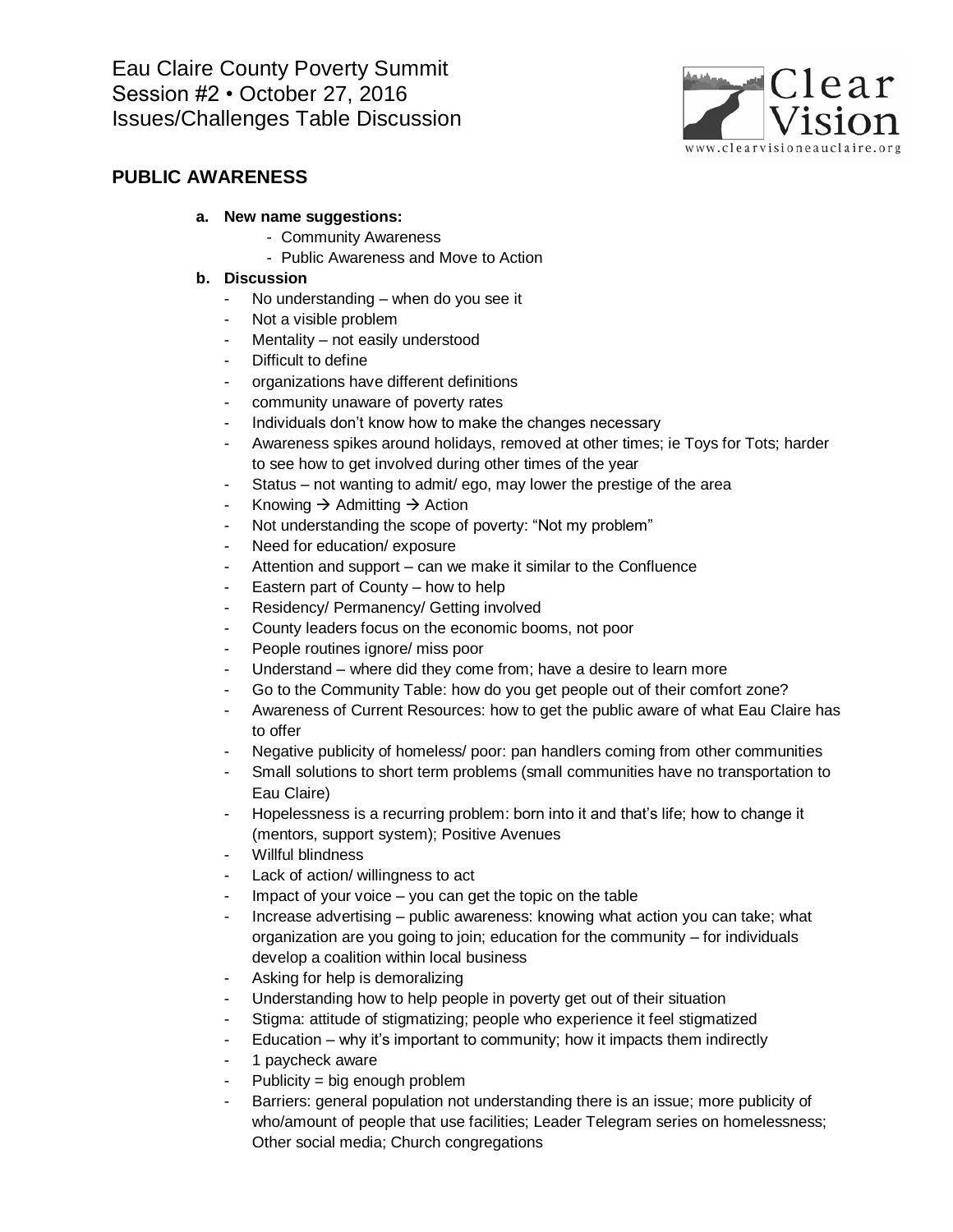

### **PUBLIC AWARENESS**

### **a. New name suggestions:**

- Community Awareness
- Public Awareness and Move to Action

- No understanding when do you see it
- Not a visible problem
- Mentality not easily understood
- Difficult to define
- organizations have different definitions
- community unaware of poverty rates
- Individuals don't know how to make the changes necessary
- Awareness spikes around holidays, removed at other times; ie Toys for Tots; harder to see how to get involved during other times of the year
- Status not wanting to admit/ ego, may lower the prestige of the area
- Knowing  $\rightarrow$  Admitting  $\rightarrow$  Action
- Not understanding the scope of poverty: "Not my problem"
- Need for education/ exposure
- Attention and support can we make it similar to the Confluence
- Eastern part of County how to help
- Residency/ Permanency/ Getting involved
- County leaders focus on the economic booms, not poor
- People routines ignore/ miss poor
- Understand where did they come from; have a desire to learn more
- Go to the Community Table: how do you get people out of their comfort zone?
- Awareness of Current Resources: how to get the public aware of what Eau Claire has to offer
- Negative publicity of homeless/ poor: pan handlers coming from other communities
- Small solutions to short term problems (small communities have no transportation to Eau Claire)
- Hopelessness is a recurring problem: born into it and that's life; how to change it (mentors, support system); Positive Avenues
- Willful blindness
- Lack of action/ willingness to act
- Impact of your voice  $-$  you can get the topic on the table
- Increase advertising public awareness: knowing what action you can take; what organization are you going to join; education for the community – for individuals develop a coalition within local business
- Asking for help is demoralizing
- Understanding how to help people in poverty get out of their situation
- Stigma: attitude of stigmatizing; people who experience it feel stigmatized
- $E$ ducation why it's important to community; how it impacts them indirectly
- 1 paycheck aware
- $Publicity = big enough problem$
- Barriers: general population not understanding there is an issue; more publicity of who/amount of people that use facilities; Leader Telegram series on homelessness; Other social media; Church congregations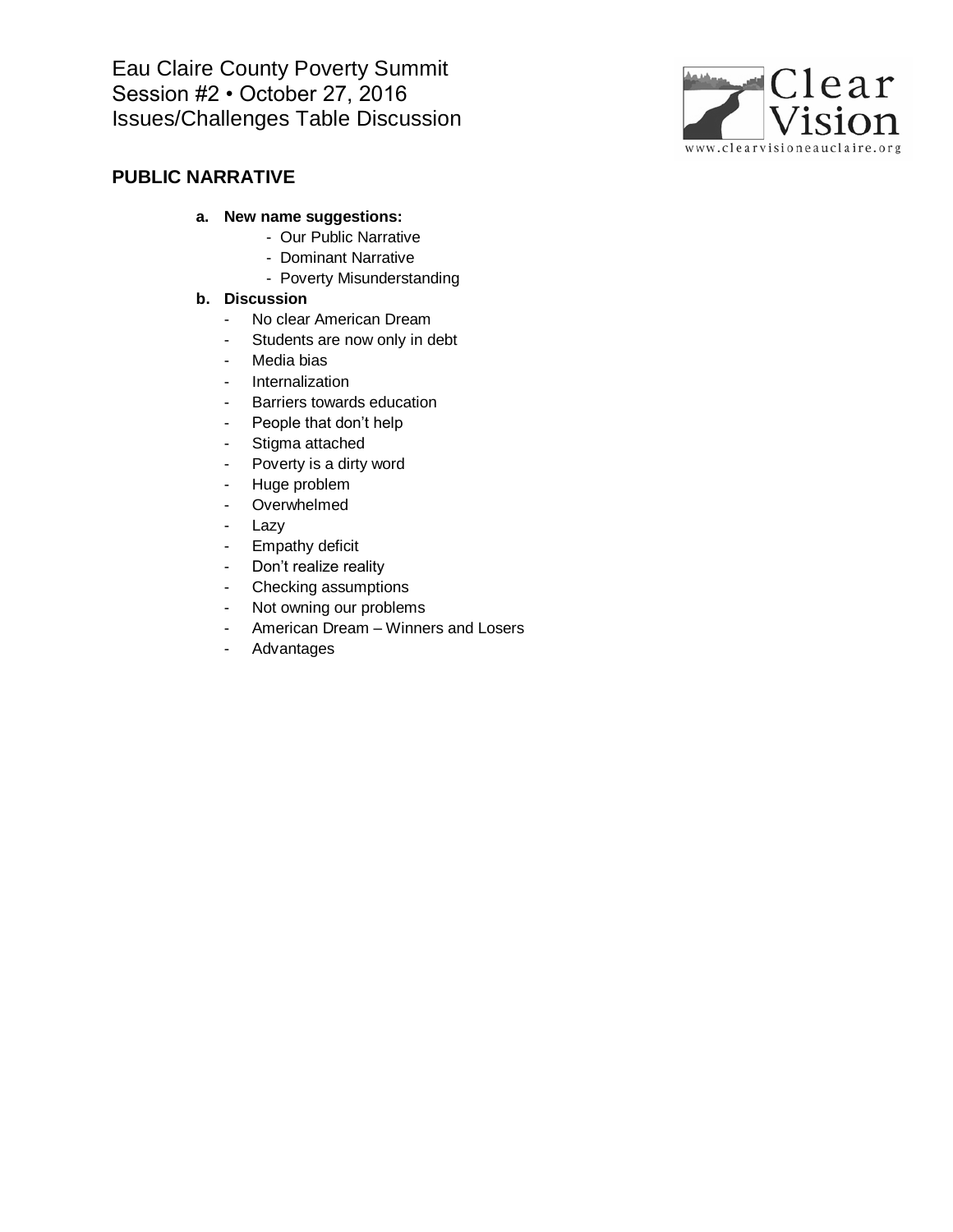

# **PUBLIC NARRATIVE**

- **a. New name suggestions:**
	- Our Public Narrative
	- Dominant Narrative
	- Poverty Misunderstanding

- No clear American Dream
- Students are now only in debt
- Media bias
- Internalization
- Barriers towards education
- People that don't help
- Stigma attached
- Poverty is a dirty word
- Huge problem
- Overwhelmed
- Lazy
- Empathy deficit
- Don't realize reality
- Checking assumptions
- Not owning our problems
- American Dream Winners and Losers
- Advantages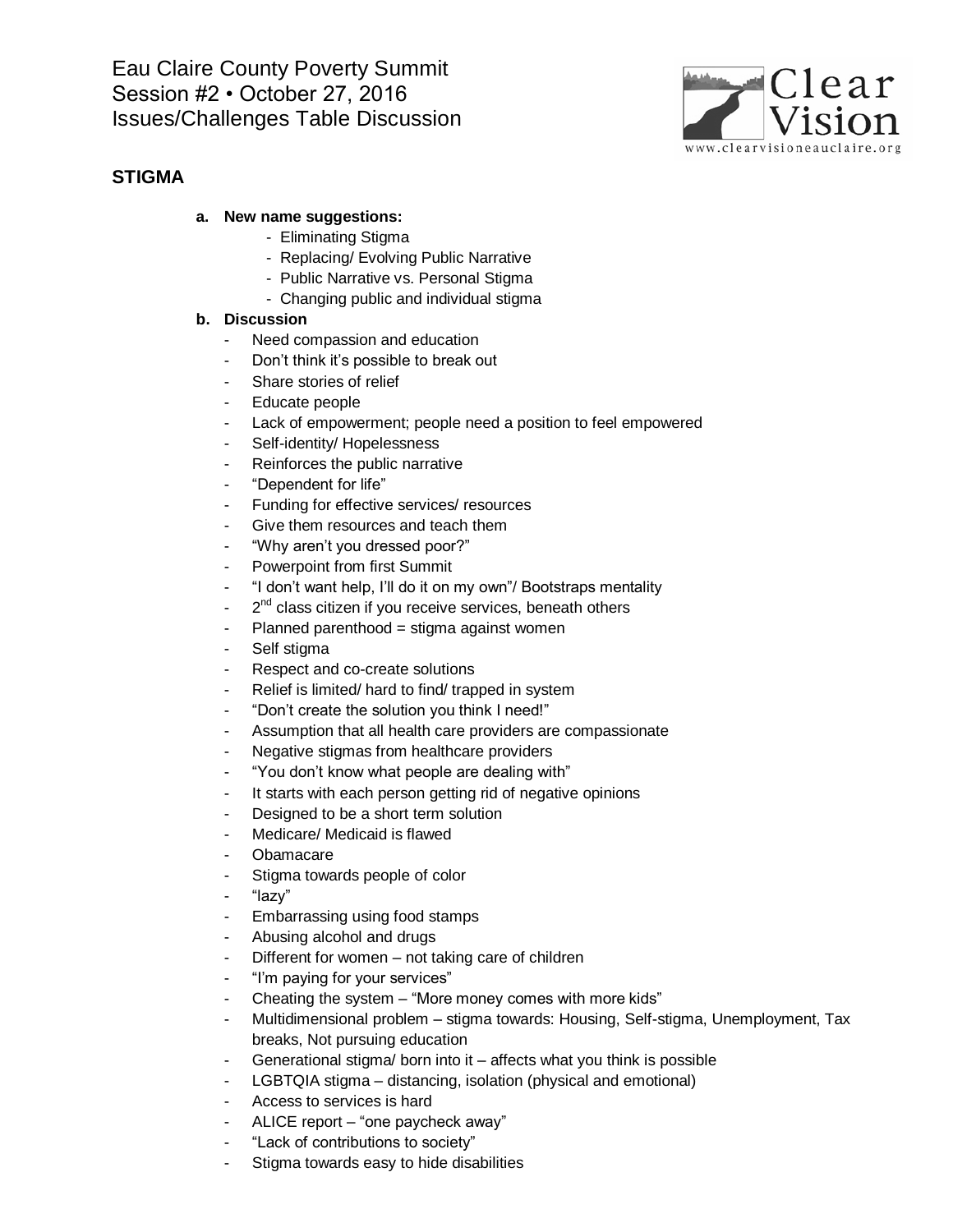

### **STIGMA**

### **a. New name suggestions:**

- Eliminating Stigma
- Replacing/ Evolving Public Narrative
- Public Narrative vs. Personal Stigma
- Changing public and individual stigma

- Need compassion and education
- Don't think it's possible to break out
- Share stories of relief
- Educate people
- Lack of empowerment; people need a position to feel empowered
- Self-identity/ Hopelessness
- Reinforces the public narrative
- "Dependent for life"
- Funding for effective services/ resources
- Give them resources and teach them
- "Why aren't you dressed poor?"
- Powerpoint from first Summit
- "I don't want help, I'll do it on my own"/ Bootstraps mentality
- 2<sup>nd</sup> class citizen if you receive services, beneath others
- Planned parenthood = stigma against women
- Self stigma
- Respect and co-create solutions
- Relief is limited/ hard to find/ trapped in system
- "Don't create the solution you think I need!"
- Assumption that all health care providers are compassionate
- Negative stigmas from healthcare providers
- "You don't know what people are dealing with"
- It starts with each person getting rid of negative opinions
- Designed to be a short term solution
- Medicare/ Medicaid is flawed
- **Obamacare**
- Stigma towards people of color
- "lazy"
- Embarrassing using food stamps
- Abusing alcohol and drugs
- Different for women not taking care of children
- "I'm paying for your services"
- Cheating the system  $-$  "More money comes with more kids"
- Multidimensional problem stigma towards: Housing, Self-stigma, Unemployment, Tax breaks, Not pursuing education
- Generational stigma/ born into it affects what you think is possible
- LGBTQIA stigma distancing, isolation (physical and emotional)
- Access to services is hard
- ALICE report "one paycheck away"
- "Lack of contributions to society"
- Stigma towards easy to hide disabilities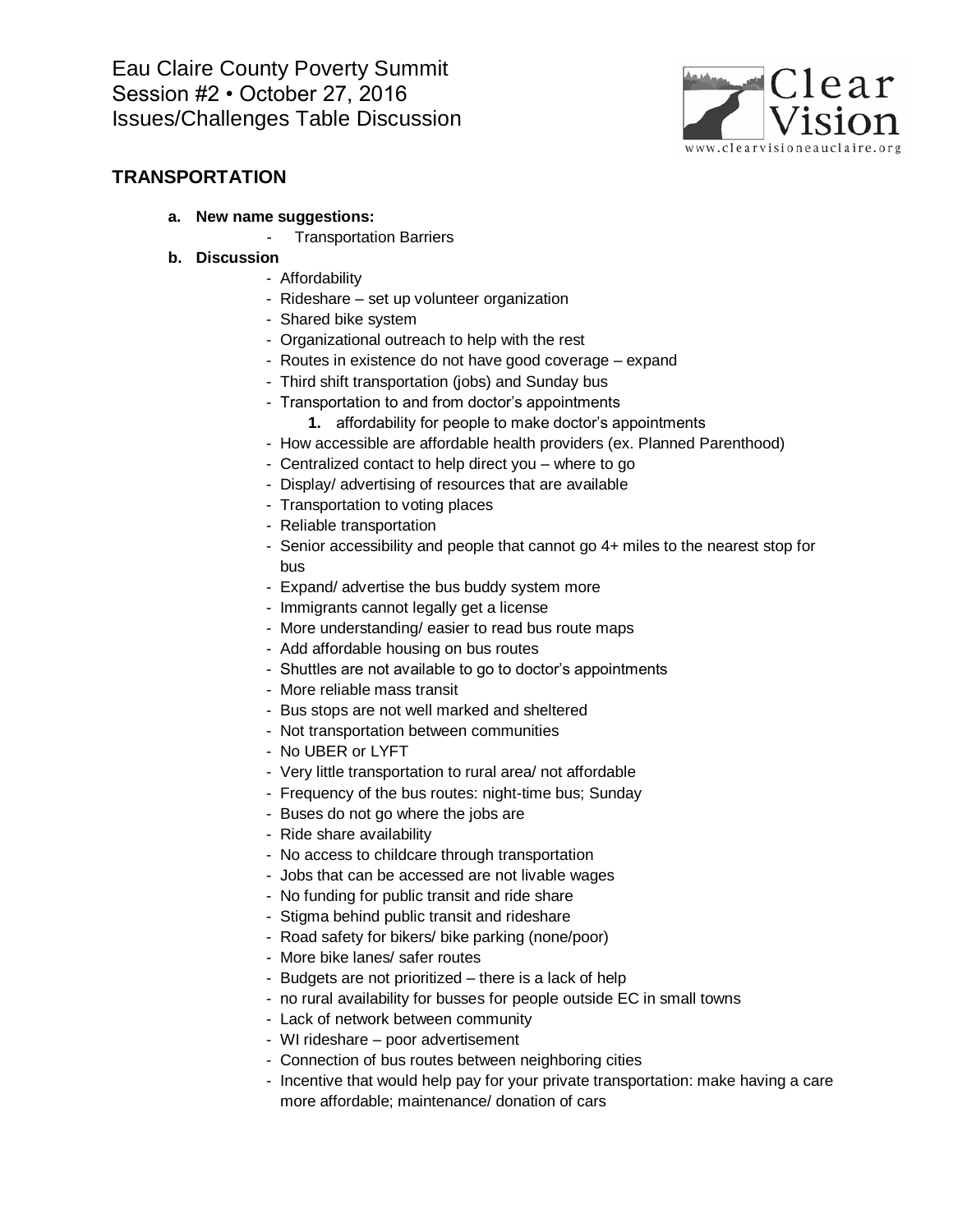

### **TRANSPORTATION**

- **a. New name suggestions:**
	- Transportation Barriers
- **b. Discussion**
	- Affordability
	- Rideshare set up volunteer organization
	- Shared bike system
	- Organizational outreach to help with the rest
	- Routes in existence do not have good coverage expand
	- Third shift transportation (jobs) and Sunday bus
	- Transportation to and from doctor's appointments
		- **1.** affordability for people to make doctor's appointments
	- How accessible are affordable health providers (ex. Planned Parenthood)
	- Centralized contact to help direct you where to go
	- Display/ advertising of resources that are available
	- Transportation to voting places
	- Reliable transportation
	- Senior accessibility and people that cannot go 4+ miles to the nearest stop for bus
	- Expand/ advertise the bus buddy system more
	- Immigrants cannot legally get a license
	- More understanding/ easier to read bus route maps
	- Add affordable housing on bus routes
	- Shuttles are not available to go to doctor's appointments
	- More reliable mass transit
	- Bus stops are not well marked and sheltered
	- Not transportation between communities
	- No UBER or LYFT
	- Very little transportation to rural area/ not affordable
	- Frequency of the bus routes: night-time bus; Sunday
	- Buses do not go where the jobs are
	- Ride share availability
	- No access to childcare through transportation
	- Jobs that can be accessed are not livable wages
	- No funding for public transit and ride share
	- Stigma behind public transit and rideshare
	- Road safety for bikers/ bike parking (none/poor)
	- More bike lanes/ safer routes
	- Budgets are not prioritized there is a lack of help
	- no rural availability for busses for people outside EC in small towns
	- Lack of network between community
	- WI rideshare poor advertisement
	- Connection of bus routes between neighboring cities
	- Incentive that would help pay for your private transportation: make having a care more affordable; maintenance/ donation of cars